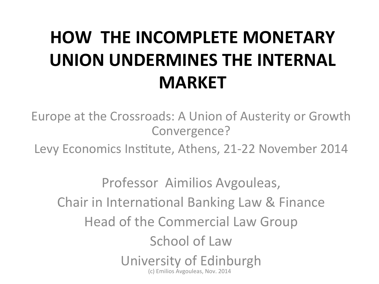## **HOW THE INCOMPLETE MONETARY UNION UNDERMINES THE INTERNAL MARKET**

Europe at the Crossroads: A Union of Austerity or Growth Convergence? 

Levy Economics Institute, Athens, 21-22 November 2014

Professor Aimilios Avgouleas, Chair in International Banking Law & Finance Head of the Commercial Law Group School of Law University of Edinburgh (c) Emilios Avgouleas, Nov. 2014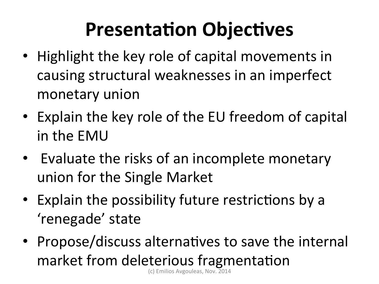# **Presentation Objectives**

- Highlight the key role of capital movements in causing structural weaknesses in an imperfect monetary union
- Explain the key role of the EU freedom of capital in the EMU
- Evaluate the risks of an incomplete monetary union for the Single Market
- Explain the possibility future restrictions by a 'renegade' state
- Propose/discuss alternatives to save the internal market from deleterious fragmentation (c) Emilios Avgouleas, Nov. 2014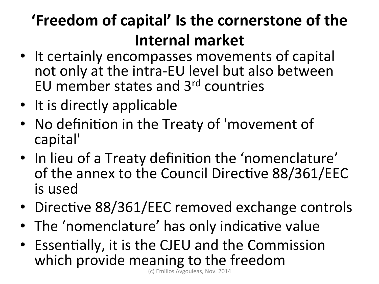### **'Freedom of capital' Is the cornerstone of the Internal market**

- It certainly encompasses movements of capital not only at the intra-EU level but also between EU member states and  $3<sup>rd</sup>$  countries
- It is directly applicable
- No definition in the Treaty of 'movement of capital'
- In lieu of a Treaty definition the 'nomenclature' of the annex to the Council Directive 88/361/EEC is used
- Directive 88/361/EEC removed exchange controls
- The 'nomenclature' has only indicative value
- Essentially, it is the CJEU and the Commission which provide meaning to the freedom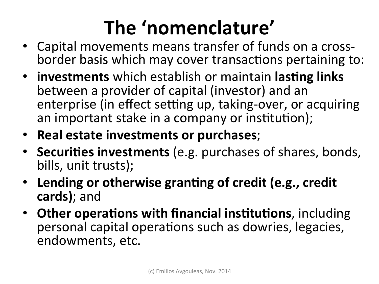# The 'nomenclature'

- Capital movements means transfer of funds on a crossborder basis which may cover transactions pertaining to:
- **investments** which establish or maintain **lasting links** between a provider of capital (investor) and an enterprise (in effect setting up, taking-over, or acquiring an important stake in a company or institution);
- **Real estate investments or purchases**;
- Securities investments (e.g. purchases of shares, bonds, bills, unit trusts);
- Lending or otherwise granting of credit (e.g., credit **cards)**; and
- Other operations with financial institutions, including personal capital operations such as dowries, legacies, endowments, etc.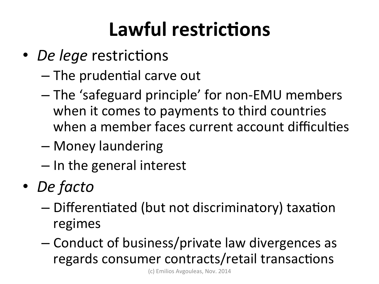# **Lawful restrictions**

- *De lege* restrictions
	- $-$  The prudential carve out
	- $-$  The 'safeguard principle' for non-EMU members when it comes to payments to third countries when a member faces current account difficulties
	- Money laundering
	- $-$  In the general interest
- *De facto* 
	- $-$  Differentiated (but not discriminatory) taxation regimes
	- Conduct of business/private law divergences as regards consumer contracts/retail transactions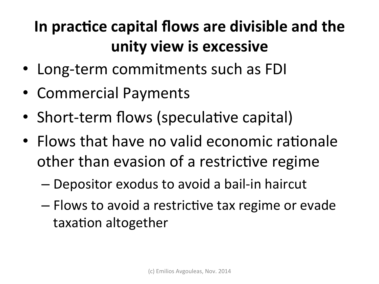### In practice capital flows are divisible and the **unity view is excessive**

- Long-term commitments such as FDI
- Commercial Payments
- Short-term flows (speculative capital)
- Flows that have no valid economic rationale other than evasion of a restrictive regime
	- Depositor exodus to avoid a bail-in haircut
	- $-$  Flows to avoid a restrictive tax regime or evade taxation altogether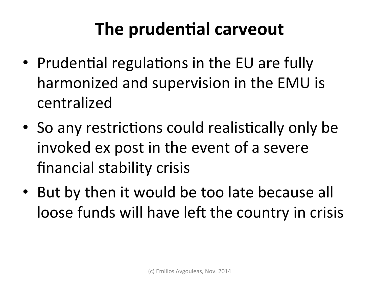### **The prudential carveout**

- Prudential regulations in the EU are fully harmonized and supervision in the EMU is centralized
- So any restrictions could realistically only be invoked ex post in the event of a severe financial stability crisis
- But by then it would be too late because all loose funds will have left the country in crisis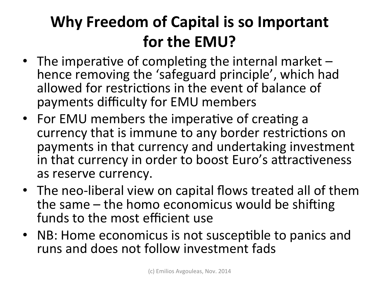### **Why Freedom of Capital is so Important for the EMU?**

- The imperative of completing the internal market  $$ hence removing the 'safeguard principle', which had allowed for restrictions in the event of balance of payments difficulty for EMU members
- For EMU members the imperative of creating a currency that is immune to any border restrictions on payments in that currency and undertaking investment in that currency in order to boost Euro's attractiveness as reserve currency.
- The neo-liberal view on capital flows treated all of them the same  $-$  the homo economicus would be shifting funds to the most efficient use
- NB: Home economicus is not susceptible to panics and runs and does not follow investment fads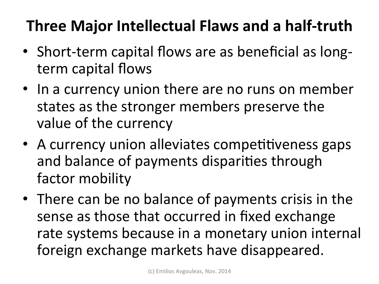#### **Three Major Intellectual Flaws and a half-truth**

- Short-term capital flows are as beneficial as longterm capital flows
- In a currency union there are no runs on member states as the stronger members preserve the value of the currency
- A currency union alleviates competitiveness gaps and balance of payments disparities through factor mobility
- There can be no balance of payments crisis in the sense as those that occurred in fixed exchange rate systems because in a monetary union internal foreign exchange markets have disappeared.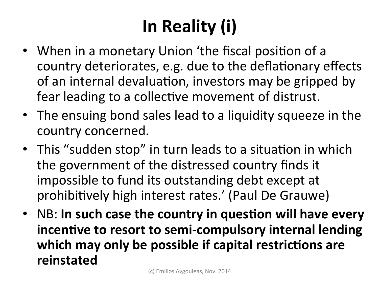# **In Reality (i)**

- When in a monetary Union 'the fiscal position of a country deteriorates, e.g. due to the deflationary effects of an internal devaluation, investors may be gripped by fear leading to a collective movement of distrust.
- The ensuing bond sales lead to a liquidity squeeze in the country concerned.
- This "sudden stop" in turn leads to a situation in which the government of the distressed country finds it impossible to fund its outstanding debt except at prohibitively high interest rates.' (Paul De Grauwe)
- NB: In such case the country in question will have every incentive to resort to semi-compulsory internal lending which may only be possible if capital restrictions are **reinstated**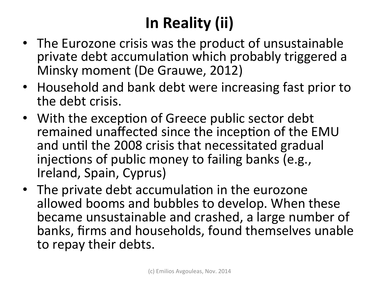### **In Reality (ii)**

- The Eurozone crisis was the product of unsustainable private debt accumulation which probably triggered a Minsky moment (De Grauwe, 2012)
- Household and bank debt were increasing fast prior to the debt crisis.
- With the exception of Greece public sector debt remained unaffected since the inception of the EMU and until the 2008 crisis that necessitated gradual injections of public money to failing banks (e.g., Ireland, Spain, Cyprus)
- The private debt accumulation in the eurozone allowed booms and bubbles to develop. When these became unsustainable and crashed, a large number of banks, firms and households, found themselves unable to repay their debts.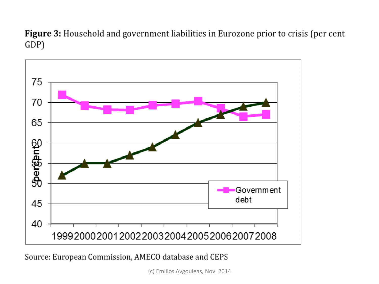Figure 3: Household and government liabilities in Eurozone prior to crisis (per cent GDP)



Source: European Commission, AMECO database and CEPS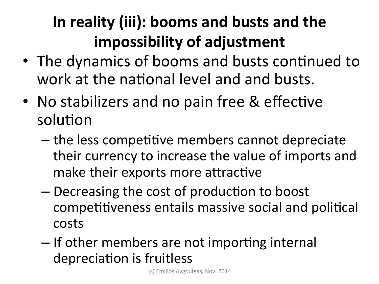### In reality (iii): booms and busts and the **impossibility of adjustment**

- The dynamics of booms and busts continued to work at the national level and and busts.
- No stabilizers and no pain free & effective solution
	- $-$  the less competitive members cannot depreciate their currency to increase the value of imports and make their exports more attractive
	- Decreasing the cost of production to boost competitiveness entails massive social and political costs
	- If other members are not importing internal depreciation is fruitless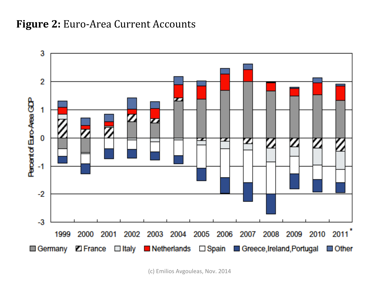#### **Figure 2:** Euro-Area Current Accounts

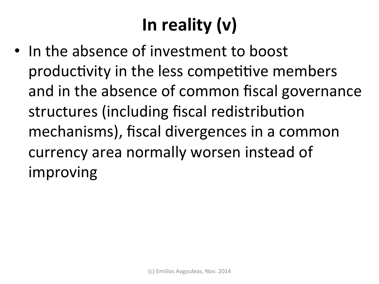# In reality (v)

• In the absence of investment to boost productivity in the less competitive members and in the absence of common fiscal governance structures (including fiscal redistribution mechanisms), fiscal divergences in a common currency area normally worsen instead of improving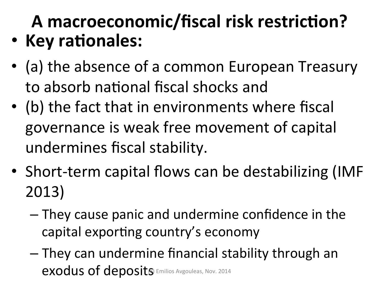### A macroeconomic/fiscal risk restriction? • Key rationales:

- (a) the absence of a common European Treasury to absorb national fiscal shocks and
- (b) the fact that in environments where fiscal governance is weak free movement of capital undermines fiscal stability.
- Short-term capital flows can be destabilizing (IMF 2013)
	- $-$  They cause panic and undermine confidence in the capital exporting country's economy
	- $-$  They can undermine financial stability through an exodus of deposits Emilios Avgouleas, Nov. 2014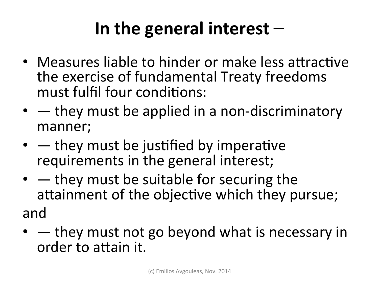### **In the general interest** –

- Measures liable to hinder or make less attractive the exercise of fundamental Treaty freedoms must fulfil four conditions:
- $\bullet$   $-$  they must be applied in a non-discriminatory manner;
- $\bullet$  they must be justified by imperative requirements in the general interest;
- $\bullet$   $-$  they must be suitable for securing the attainment of the objective which they pursue; and
- $\bullet$   $-$  they must not go beyond what is necessary in order to attain it.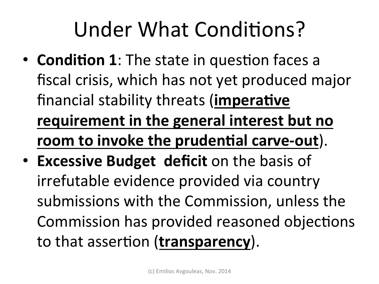# Under What Conditions?

- **Condition 1**: The state in question faces a fiscal crisis, which has not yet produced major financial stability threats (**imperative requirement in the general interest but no room to invoke the prudential carve-out**).
- **Excessive Budget deficit** on the basis of irrefutable evidence provided via country submissions with the Commission, unless the Commission has provided reasoned objections to that assertion (**transparency**).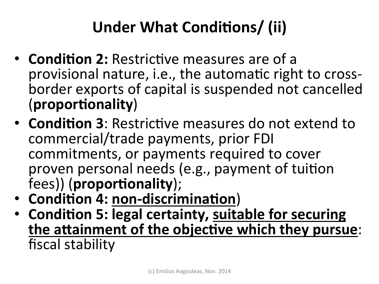### Under What Conditions/ (ii)

- **Condition 2:** Restrictive measures are of a provisional nature, i.e., the automatic right to crossborder exports of capital is suspended not cancelled (**propor:onality**)
- **Condition 3**: Restrictive measures do not extend to commercial/trade payments, prior FDI commitments, or payments required to cover proven personal needs (e.g., payment of tuition fees)) (proportionality);
- Condition 4: non-discrimination)
- Condition 5: legal certainty, suitable for securing the attainment of the objective which they pursue: fiscal stability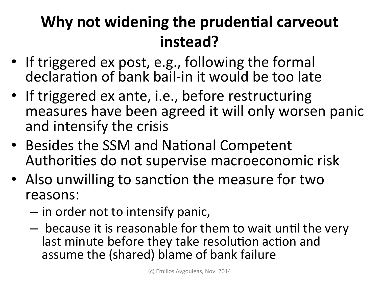#### **Why not widening the prudential carveout instead?**

- If triggered ex post, e.g., following the formal declaration of bank bail-in it would be too late
- If triggered ex ante, i.e., before restructuring measures have been agreed it will only worsen panic and intensify the crisis
- Besides the SSM and National Competent Authorities do not supervise macroeconomic risk
- Also unwilling to sanction the measure for two reasons:
	- $-$  in order not to intensify panic,
	- because it is reasonable for them to wait until the very last minute before they take resolution action and assume the (shared) blame of bank failure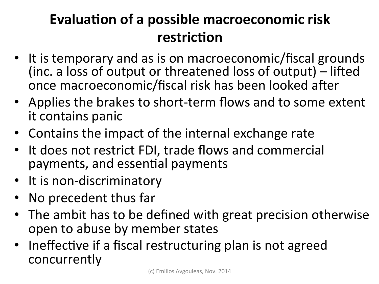#### **Evaluation of a possible macroeconomic risk restriction**

- It is temporary and as is on macroeconomic/fiscal grounds (inc. a loss of output or threatened loss of output)  $-$  lifted once macroeconomic/fiscal risk has been looked after
- Applies the brakes to short-term flows and to some extent it contains panic
- Contains the impact of the internal exchange rate
- It does not restrict FDI, trade flows and commercial payments, and essential payments
- It is non-discriminatory
- No precedent thus far
- The ambit has to be defined with great precision otherwise open to abuse by member states
- Ineffective if a fiscal restructuring plan is not agreed concurrently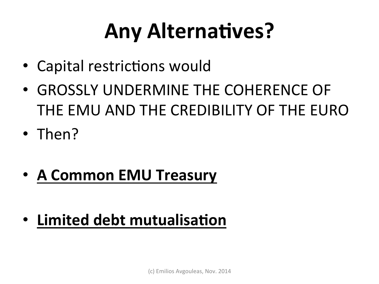# **Any Alternatives?**

- Capital restrictions would
- GROSSLY UNDERMINE THE COHERENCE OF THE EMU AND THE CREDIBILITY OF THE EURO
- Then?
- A Common EMU Treasury
- **Limited debt mutualisation**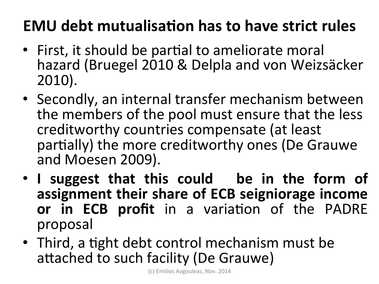#### **EMU** debt mutualisation has to have strict rules

- First, it should be partial to ameliorate moral hazard (Bruegel 2010 & Delpla and von Weizsäcker 2010).
- Secondly, an internal transfer mechanism between the members of the pool must ensure that the less creditworthy countries compensate (at least partially) the more creditworthy ones (De Grauwe and Moesen 2009).
- I suggest that this could be in the form of assignment their share of ECB seigniorage income or in ECB profit in a variation of the PADRE proposal
- Third, a tight debt control mechanism must be attached to such facility (De Grauwe)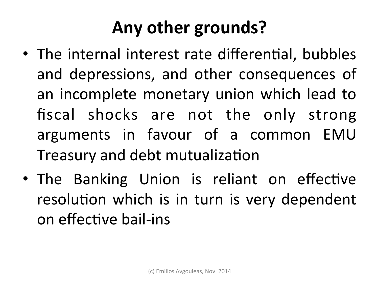### Any other grounds?

- The internal interest rate differential, bubbles and depressions, and other consequences of an incomplete monetary union which lead to fiscal shocks are not the only strong arguments in favour of a common EMU Treasury and debt mutualization
- The Banking Union is reliant on effective resolution which is in turn is very dependent on effective bail-ins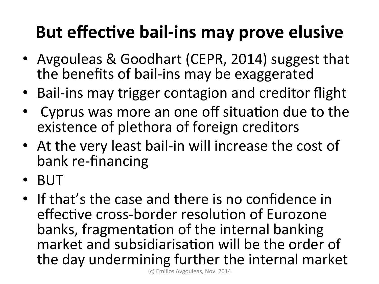### **But effective bail-ins may prove elusive**

- Avgouleas & Goodhart (CEPR, 2014) suggest that the benefits of bail-ins may be exaggerated
- Bail-ins may trigger contagion and creditor flight
- Cyprus was more an one off situation due to the existence of plethora of foreign creditors
- At the very least bail-in will increase the cost of bank re-financing
- BUT
- If that's the case and there is no confidence in effective cross-border resolution of Eurozone banks, fragmentation of the internal banking market and subsidiarisation will be the order of the day undermining further the internal market